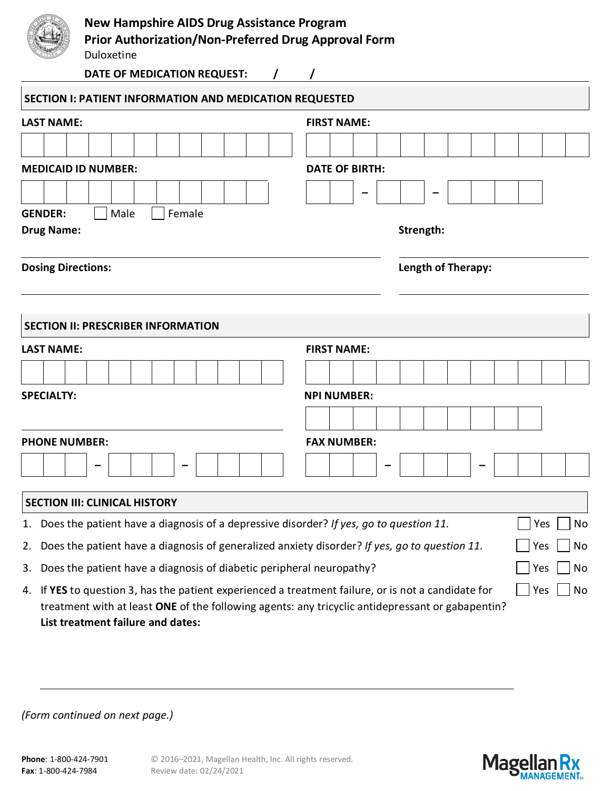|                           | <b>New Hampshire AIDS Drug Assistance Program</b><br><b>Prior Authorization/Non-Preferred Drug Approval Form</b><br>Duloxetine<br>DATE OF MEDICATION REQUEST:<br>$\prime$ |                       |                    |  |  |  |  |  |  |  |  |  |  |
|---------------------------|---------------------------------------------------------------------------------------------------------------------------------------------------------------------------|-----------------------|--------------------|--|--|--|--|--|--|--|--|--|--|
|                           | SECTION I: PATIENT INFORMATION AND MEDICATION REQUESTED                                                                                                                   |                       |                    |  |  |  |  |  |  |  |  |  |  |
| <b>LAST NAME:</b>         |                                                                                                                                                                           | <b>FIRST NAME:</b>    |                    |  |  |  |  |  |  |  |  |  |  |
|                           |                                                                                                                                                                           |                       |                    |  |  |  |  |  |  |  |  |  |  |
|                           | <b>MEDICAID ID NUMBER:</b>                                                                                                                                                | <b>DATE OF BIRTH:</b> |                    |  |  |  |  |  |  |  |  |  |  |
|                           |                                                                                                                                                                           |                       |                    |  |  |  |  |  |  |  |  |  |  |
| <b>GENDER:</b>            | Female<br>Male                                                                                                                                                            |                       |                    |  |  |  |  |  |  |  |  |  |  |
| <b>Drug Name:</b>         |                                                                                                                                                                           |                       | Strength:          |  |  |  |  |  |  |  |  |  |  |
| <b>Dosing Directions:</b> |                                                                                                                                                                           |                       | Length of Therapy: |  |  |  |  |  |  |  |  |  |  |
|                           | <b>SECTION II: PRESCRIBER INFORMATION</b>                                                                                                                                 |                       |                    |  |  |  |  |  |  |  |  |  |  |
| <b>LAST NAME:</b>         |                                                                                                                                                                           | <b>FIRST NAME:</b>    |                    |  |  |  |  |  |  |  |  |  |  |

| LAJI INAIVIL.            | LUNJI IVAIVIL.                |  |  |  |  |  |  |  |  |  |  |  |
|--------------------------|-------------------------------|--|--|--|--|--|--|--|--|--|--|--|
|                          |                               |  |  |  |  |  |  |  |  |  |  |  |
| <b>SPECIALTY:</b>        | <b>NPI NUMBER:</b>            |  |  |  |  |  |  |  |  |  |  |  |
|                          |                               |  |  |  |  |  |  |  |  |  |  |  |
| <b>PHONE NUMBER:</b>     | <b>FAX NUMBER:</b>            |  |  |  |  |  |  |  |  |  |  |  |
| $\overline{\phantom{0}}$ | $\overline{\phantom{0}}$<br>- |  |  |  |  |  |  |  |  |  |  |  |

## **SECTION III: CLINICAL HISTORY** 1. Does the patient have a diagnosis of a depressive disorder? *If yes, go to question 11.*  $\Box$  Yes  $\Box$  No 2. Does the patient have a diagnosis of generalized anxiety disorder? *If yes, go to question 11.*  $\Box$  Yes  $\Box$  No 3. Does the patient have a diagnosis of diabetic peripheral neuropathy?  $\Box$  Yes  $\Box$  No 4. If **YES** to question 3, has the patient experienced a treatment failure, or is not a candidate for treatment with at least **ONE** of the following agents: any tricyclic antidepressant or gabapentin? **List treatment failure and dates:**   $\Box$  Yes  $\Box$  No

*(Form continued on next page.)*

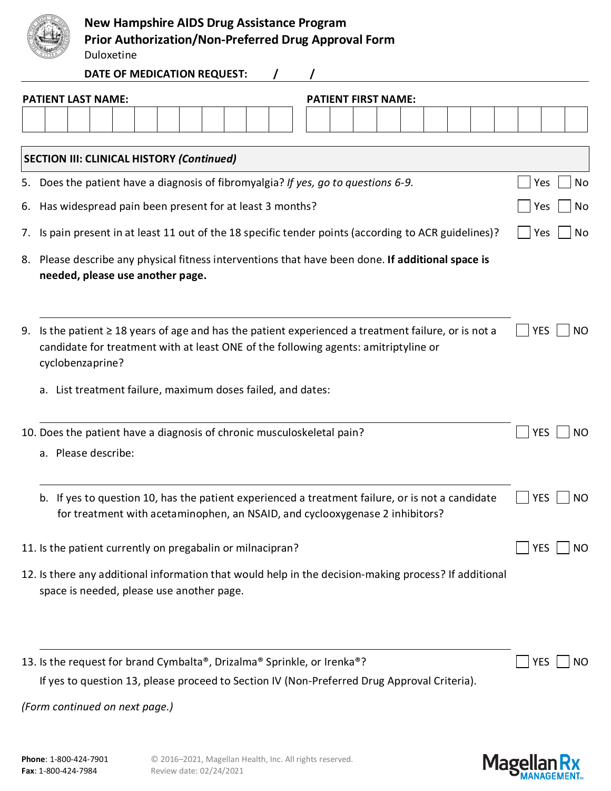|--|

## **New Hampshire AIDS Drug Assistance Program**

**Prior Authorization/Non-Preferred Drug Approval Form**

Duloxetine

**DATE OF MEDICATION REQUEST: / /**

|                                                            | <b>PATIENT LAST NAME:</b>                                                                                                              |                                           |  |  |  |  |  |  |  |  |  |  |  |  |  | <b>PATIENT FIRST NAME:</b>                                  |                                                                         |     |  |                                                                                                                                                                                               |  |  |  |  |  |            |  |           |
|------------------------------------------------------------|----------------------------------------------------------------------------------------------------------------------------------------|-------------------------------------------|--|--|--|--|--|--|--|--|--|--|--|--|--|-------------------------------------------------------------|-------------------------------------------------------------------------|-----|--|-----------------------------------------------------------------------------------------------------------------------------------------------------------------------------------------------|--|--|--|--|--|------------|--|-----------|
|                                                            |                                                                                                                                        |                                           |  |  |  |  |  |  |  |  |  |  |  |  |  |                                                             |                                                                         |     |  |                                                                                                                                                                                               |  |  |  |  |  |            |  |           |
|                                                            |                                                                                                                                        |                                           |  |  |  |  |  |  |  |  |  |  |  |  |  |                                                             |                                                                         |     |  |                                                                                                                                                                                               |  |  |  |  |  |            |  |           |
|                                                            | <b>SECTION III: CLINICAL HISTORY (Continued)</b><br>5. Does the patient have a diagnosis of fibromyalgia? If yes, go to questions 6-9. |                                           |  |  |  |  |  |  |  |  |  |  |  |  |  |                                                             | Yes                                                                     |     |  |                                                                                                                                                                                               |  |  |  |  |  |            |  |           |
| 6.                                                         | Has widespread pain been present for at least 3 months?                                                                                |                                           |  |  |  |  |  |  |  |  |  |  |  |  |  |                                                             |                                                                         | Yes |  | No<br>No                                                                                                                                                                                      |  |  |  |  |  |            |  |           |
|                                                            | Is pain present in at least 11 out of the 18 specific tender points (according to ACR guidelines)?                                     |                                           |  |  |  |  |  |  |  |  |  |  |  |  |  |                                                             |                                                                         |     |  |                                                                                                                                                                                               |  |  |  |  |  |            |  |           |
| 7.                                                         |                                                                                                                                        |                                           |  |  |  |  |  |  |  |  |  |  |  |  |  |                                                             |                                                                         |     |  |                                                                                                                                                                                               |  |  |  |  |  | Yes        |  | No        |
|                                                            |                                                                                                                                        | needed, please use another page.          |  |  |  |  |  |  |  |  |  |  |  |  |  |                                                             |                                                                         |     |  | 8. Please describe any physical fitness interventions that have been done. If additional space is                                                                                             |  |  |  |  |  |            |  |           |
|                                                            |                                                                                                                                        |                                           |  |  |  |  |  |  |  |  |  |  |  |  |  |                                                             |                                                                         |     |  |                                                                                                                                                                                               |  |  |  |  |  |            |  |           |
|                                                            |                                                                                                                                        |                                           |  |  |  |  |  |  |  |  |  |  |  |  |  |                                                             |                                                                         |     |  |                                                                                                                                                                                               |  |  |  |  |  |            |  |           |
| 9.                                                         |                                                                                                                                        |                                           |  |  |  |  |  |  |  |  |  |  |  |  |  |                                                             |                                                                         |     |  | Is the patient $\geq$ 18 years of age and has the patient experienced a treatment failure, or is not a<br>candidate for treatment with at least ONE of the following agents: amitriptyline or |  |  |  |  |  | <b>YES</b> |  | NO.       |
|                                                            |                                                                                                                                        | cyclobenzaprine?                          |  |  |  |  |  |  |  |  |  |  |  |  |  |                                                             |                                                                         |     |  |                                                                                                                                                                                               |  |  |  |  |  |            |  |           |
|                                                            |                                                                                                                                        |                                           |  |  |  |  |  |  |  |  |  |  |  |  |  | a. List treatment failure, maximum doses failed, and dates: |                                                                         |     |  |                                                                                                                                                                                               |  |  |  |  |  |            |  |           |
|                                                            |                                                                                                                                        |                                           |  |  |  |  |  |  |  |  |  |  |  |  |  |                                                             |                                                                         |     |  |                                                                                                                                                                                               |  |  |  |  |  |            |  |           |
|                                                            |                                                                                                                                        |                                           |  |  |  |  |  |  |  |  |  |  |  |  |  |                                                             | 10. Does the patient have a diagnosis of chronic musculoskeletal pain?  |     |  |                                                                                                                                                                                               |  |  |  |  |  | <b>YES</b> |  | <b>NO</b> |
|                                                            |                                                                                                                                        | a. Please describe:                       |  |  |  |  |  |  |  |  |  |  |  |  |  |                                                             |                                                                         |     |  |                                                                                                                                                                                               |  |  |  |  |  |            |  |           |
|                                                            |                                                                                                                                        |                                           |  |  |  |  |  |  |  |  |  |  |  |  |  |                                                             |                                                                         |     |  |                                                                                                                                                                                               |  |  |  |  |  |            |  |           |
|                                                            |                                                                                                                                        |                                           |  |  |  |  |  |  |  |  |  |  |  |  |  |                                                             |                                                                         |     |  | b. If yes to question 10, has the patient experienced a treatment failure, or is not a candidate<br>for treatment with acetaminophen, an NSAID, and cyclooxygenase 2 inhibitors?              |  |  |  |  |  | <b>YES</b> |  | NO        |
|                                                            |                                                                                                                                        |                                           |  |  |  |  |  |  |  |  |  |  |  |  |  |                                                             |                                                                         |     |  |                                                                                                                                                                                               |  |  |  |  |  |            |  |           |
| 11. Is the patient currently on pregabalin or milnacipran? |                                                                                                                                        |                                           |  |  |  |  |  |  |  |  |  |  |  |  |  | NO                                                          |                                                                         |     |  |                                                                                                                                                                                               |  |  |  |  |  |            |  |           |
|                                                            |                                                                                                                                        |                                           |  |  |  |  |  |  |  |  |  |  |  |  |  |                                                             |                                                                         |     |  | 12. Is there any additional information that would help in the decision-making process? If additional                                                                                         |  |  |  |  |  |            |  |           |
|                                                            |                                                                                                                                        | space is needed, please use another page. |  |  |  |  |  |  |  |  |  |  |  |  |  |                                                             |                                                                         |     |  |                                                                                                                                                                                               |  |  |  |  |  |            |  |           |
|                                                            |                                                                                                                                        |                                           |  |  |  |  |  |  |  |  |  |  |  |  |  |                                                             |                                                                         |     |  |                                                                                                                                                                                               |  |  |  |  |  |            |  |           |
|                                                            |                                                                                                                                        |                                           |  |  |  |  |  |  |  |  |  |  |  |  |  |                                                             |                                                                         |     |  |                                                                                                                                                                                               |  |  |  |  |  |            |  |           |
|                                                            |                                                                                                                                        |                                           |  |  |  |  |  |  |  |  |  |  |  |  |  |                                                             | 13. Is the request for brand Cymbalta®, Drizalma® Sprinkle, or Irenka®? |     |  |                                                                                                                                                                                               |  |  |  |  |  | <b>YES</b> |  | NO.       |
|                                                            |                                                                                                                                        |                                           |  |  |  |  |  |  |  |  |  |  |  |  |  |                                                             |                                                                         |     |  | If yes to question 13, please proceed to Section IV (Non-Preferred Drug Approval Criteria).                                                                                                   |  |  |  |  |  |            |  |           |

*(Form continued on next page.)*